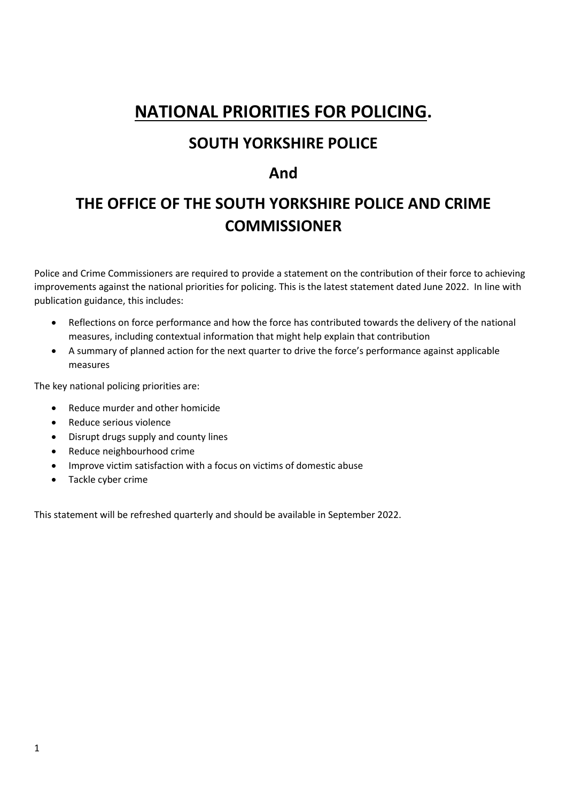# **NATIONAL PRIORITIES FOR POLICING.**

# **SOUTH YORKSHIRE POLICE**

# **And**

# **THE OFFICE OF THE SOUTH YORKSHIRE POLICE AND CRIME COMMISSIONER**

Police and Crime Commissioners are required to provide a statement on the contribution of their force to achieving improvements against the national priorities for policing. This is the latest statement dated June 2022. In line with publication guidance, this includes:

- Reflections on force performance and how the force has contributed towards the delivery of the national measures, including contextual information that might help explain that contribution
- A summary of planned action for the next quarter to drive the force's performance against applicable measures

The key national policing priorities are:

- Reduce murder and other homicide
- Reduce serious violence
- Disrupt drugs supply and county lines
- Reduce neighbourhood crime
- Improve victim satisfaction with a focus on victims of domestic abuse
- Tackle cyber crime

This statement will be refreshed quarterly and should be available in September 2022.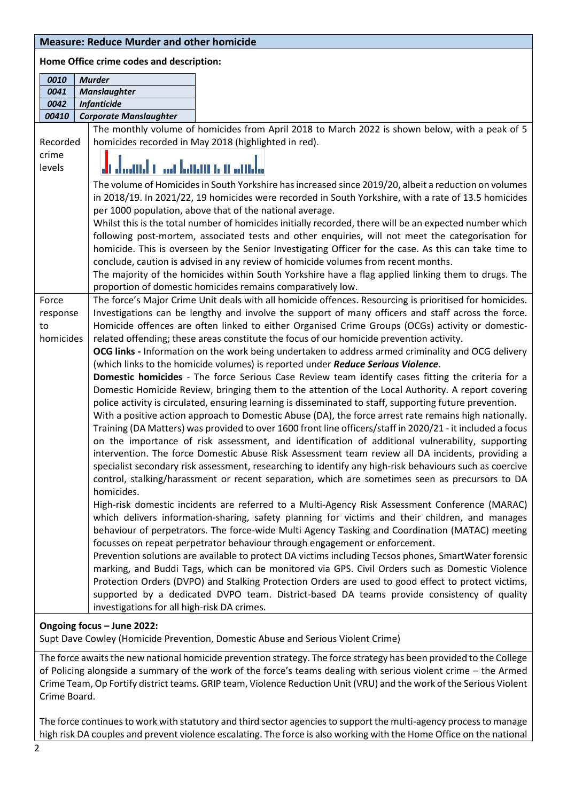#### **Measure: Reduce Murder and other homicide**

#### **Home Office crime codes and description:**

|                   | יוסוווכ סוווככ כוווווכ כטטכא מווט טכאכוואנוטוו |                                                                                                                                                                                                                |
|-------------------|------------------------------------------------|----------------------------------------------------------------------------------------------------------------------------------------------------------------------------------------------------------------|
| 0010              | <b>Murder</b>                                  |                                                                                                                                                                                                                |
| 0041              | <b>Manslaughter</b>                            |                                                                                                                                                                                                                |
| 0042<br>00410     | <b>Infanticide</b>                             |                                                                                                                                                                                                                |
|                   | <b>Corporate Manslaughter</b>                  |                                                                                                                                                                                                                |
|                   |                                                | The monthly volume of homicides from April 2018 to March 2022 is shown below, with a peak of 5                                                                                                                 |
| Recorded<br>crime |                                                | homicides recorded in May 2018 (highlighted in red).                                                                                                                                                           |
| levels            | di daand isaa lamiin u amda                    |                                                                                                                                                                                                                |
|                   |                                                | The volume of Homicides in South Yorkshire has increased since 2019/20, albeit a reduction on volumes                                                                                                          |
|                   |                                                | in 2018/19. In 2021/22, 19 homicides were recorded in South Yorkshire, with a rate of 13.5 homicides                                                                                                           |
|                   |                                                | per 1000 population, above that of the national average.                                                                                                                                                       |
|                   |                                                | Whilst this is the total number of homicides initially recorded, there will be an expected number which                                                                                                        |
|                   |                                                | following post-mortem, associated tests and other enquiries, will not meet the categorisation for                                                                                                              |
|                   |                                                | homicide. This is overseen by the Senior Investigating Officer for the case. As this can take time to                                                                                                          |
|                   |                                                | conclude, caution is advised in any review of homicide volumes from recent months.                                                                                                                             |
|                   |                                                | The majority of the homicides within South Yorkshire have a flag applied linking them to drugs. The                                                                                                            |
|                   |                                                | proportion of domestic homicides remains comparatively low.                                                                                                                                                    |
| Force             |                                                | The force's Major Crime Unit deals with all homicide offences. Resourcing is prioritised for homicides.                                                                                                        |
| response          |                                                | Investigations can be lengthy and involve the support of many officers and staff across the force.                                                                                                             |
| to                |                                                | Homicide offences are often linked to either Organised Crime Groups (OCGs) activity or domestic-                                                                                                               |
| homicides         |                                                | related offending; these areas constitute the focus of our homicide prevention activity.                                                                                                                       |
|                   |                                                | OCG links - Information on the work being undertaken to address armed criminality and OCG delivery                                                                                                             |
|                   |                                                | (which links to the homicide volumes) is reported under Reduce Serious Violence.                                                                                                                               |
|                   |                                                | Domestic homicides - The force Serious Case Review team identify cases fitting the criteria for a                                                                                                              |
|                   |                                                | Domestic Homicide Review, bringing them to the attention of the Local Authority. A report covering<br>police activity is circulated, ensuring learning is disseminated to staff, supporting future prevention. |
|                   |                                                | With a positive action approach to Domestic Abuse (DA), the force arrest rate remains high nationally.                                                                                                         |
|                   |                                                | Training (DA Matters) was provided to over 1600 front line officers/staff in 2020/21 - it included a focus                                                                                                     |
|                   |                                                | on the importance of risk assessment, and identification of additional vulnerability, supporting                                                                                                               |
|                   |                                                | intervention. The force Domestic Abuse Risk Assessment team review all DA incidents, providing a                                                                                                               |
|                   |                                                | specialist secondary risk assessment, researching to identify any high-risk behaviours such as coercive                                                                                                        |
|                   |                                                | control, stalking/harassment or recent separation, which are sometimes seen as precursors to DA                                                                                                                |
|                   | homicides.                                     |                                                                                                                                                                                                                |
|                   |                                                | High-risk domestic incidents are referred to a Multi-Agency Risk Assessment Conference (MARAC)                                                                                                                 |
|                   |                                                | which delivers information-sharing, safety planning for victims and their children, and manages                                                                                                                |
|                   |                                                | behaviour of perpetrators. The force-wide Multi Agency Tasking and Coordination (MATAC) meeting                                                                                                                |
|                   |                                                | focusses on repeat perpetrator behaviour through engagement or enforcement.                                                                                                                                    |
|                   |                                                | Prevention solutions are available to protect DA victims including Tecsos phones, SmartWater forensic                                                                                                          |
|                   |                                                | marking, and Buddi Tags, which can be monitored via GPS. Civil Orders such as Domestic Violence                                                                                                                |
|                   |                                                | Protection Orders (DVPO) and Stalking Protection Orders are used to good effect to protect victims,                                                                                                            |
|                   |                                                | supported by a dedicated DVPO team. District-based DA teams provide consistency of quality                                                                                                                     |
|                   | investigations for all high-risk DA crimes.    |                                                                                                                                                                                                                |
|                   |                                                |                                                                                                                                                                                                                |

#### **Ongoing focus – June 2022:**

Supt Dave Cowley (Homicide Prevention, Domestic Abuse and Serious Violent Crime)

The force awaits the new national homicide prevention strategy. The force strategy has been provided to the College of Policing alongside a summary of the work of the force's teams dealing with serious violent crime – the Armed Crime Team, Op Fortify district teams. GRIP team, Violence Reduction Unit (VRU) and the work of the Serious Violent Crime Board.

The force continues to work with statutory and third sector agencies to support the multi-agency process to manage high risk DA couples and prevent violence escalating. The force is also working with the Home Office on the national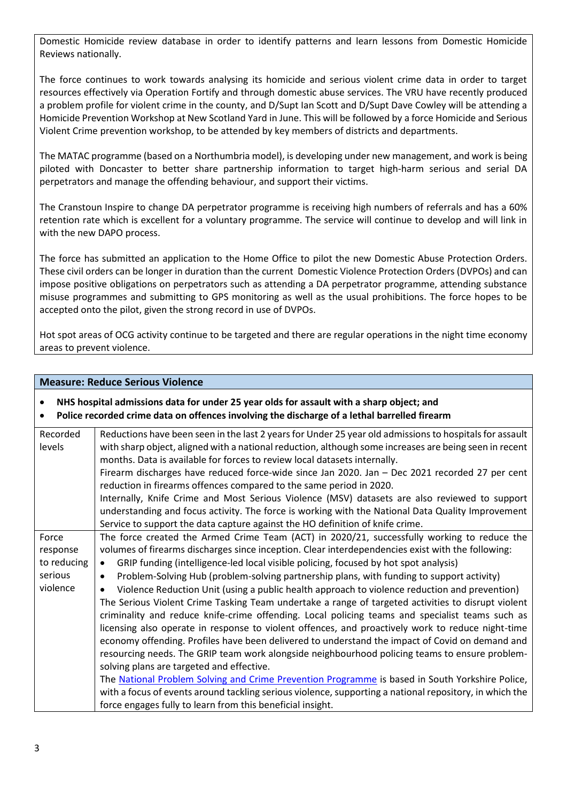Domestic Homicide review database in order to identify patterns and learn lessons from Domestic Homicide Reviews nationally.

The force continues to work towards analysing its homicide and serious violent crime data in order to target resources effectively via Operation Fortify and through domestic abuse services. The VRU have recently produced a problem profile for violent crime in the county, and D/Supt Ian Scott and D/Supt Dave Cowley will be attending a Homicide Prevention Workshop at New Scotland Yard in June. This will be followed by a force Homicide and Serious Violent Crime prevention workshop, to be attended by key members of districts and departments.

The MATAC programme (based on a Northumbria model), is developing under new management, and work is being piloted with Doncaster to better share partnership information to target high-harm serious and serial DA perpetrators and manage the offending behaviour, and support their victims.

The Cranstoun Inspire to change DA perpetrator programme is receiving high numbers of referrals and has a 60% retention rate which is excellent for a voluntary programme. The service will continue to develop and will link in with the new DAPO process.

The force has submitted an application to the Home Office to pilot the new Domestic Abuse Protection Orders. These civil orders can be longer in duration than the current Domestic Violence Protection Orders (DVPOs) and can impose positive obligations on perpetrators such as attending a DA perpetrator programme, attending substance misuse programmes and submitting to GPS monitoring as well as the usual prohibitions. The force hopes to be accepted onto the pilot, given the strong record in use of DVPOs.

Hot spot areas of OCG activity continue to be targeted and there are regular operations in the night time economy areas to prevent violence.

#### **Measure: Reduce Serious Violence**

# • **NHS hospital admissions data for under 25 year olds for assault with a sharp object; and**

• **Police recorded crime data on offences involving the discharge of a lethal barrelled firearm**

| Recorded    | Reductions have been seen in the last 2 years for Under 25 year old admissions to hospitals for assault    |
|-------------|------------------------------------------------------------------------------------------------------------|
| levels      | with sharp object, aligned with a national reduction, although some increases are being seen in recent     |
|             | months. Data is available for forces to review local datasets internally.                                  |
|             | Firearm discharges have reduced force-wide since Jan 2020. Jan - Dec 2021 recorded 27 per cent             |
|             | reduction in firearms offences compared to the same period in 2020.                                        |
|             | Internally, Knife Crime and Most Serious Violence (MSV) datasets are also reviewed to support              |
|             | understanding and focus activity. The force is working with the National Data Quality Improvement          |
|             | Service to support the data capture against the HO definition of knife crime.                              |
| Force       | The force created the Armed Crime Team (ACT) in 2020/21, successfully working to reduce the                |
| response    | volumes of firearms discharges since inception. Clear interdependencies exist with the following:          |
| to reducing | GRIP funding (intelligence-led local visible policing, focused by hot spot analysis)<br>$\bullet$          |
| serious     | Problem-Solving Hub (problem-solving partnership plans, with funding to support activity)<br>$\bullet$     |
| violence    | Violence Reduction Unit (using a public health approach to violence reduction and prevention)<br>$\bullet$ |
|             | The Serious Violent Crime Tasking Team undertake a range of targeted activities to disrupt violent         |
|             | criminality and reduce knife-crime offending. Local policing teams and specialist teams such as            |
|             | licensing also operate in response to violent offences, and proactively work to reduce night-time          |
|             | economy offending. Profiles have been delivered to understand the impact of Covid on demand and            |
|             | resourcing needs. The GRIP team work alongside neighbourhood policing teams to ensure problem-             |
|             | solving plans are targeted and effective.                                                                  |
|             | The National Problem Solving and Crime Prevention Programme is based in South Yorkshire Police,            |
|             | with a focus of events around tackling serious violence, supporting a national repository, in which the    |
|             | force engages fully to learn from this beneficial insight.                                                 |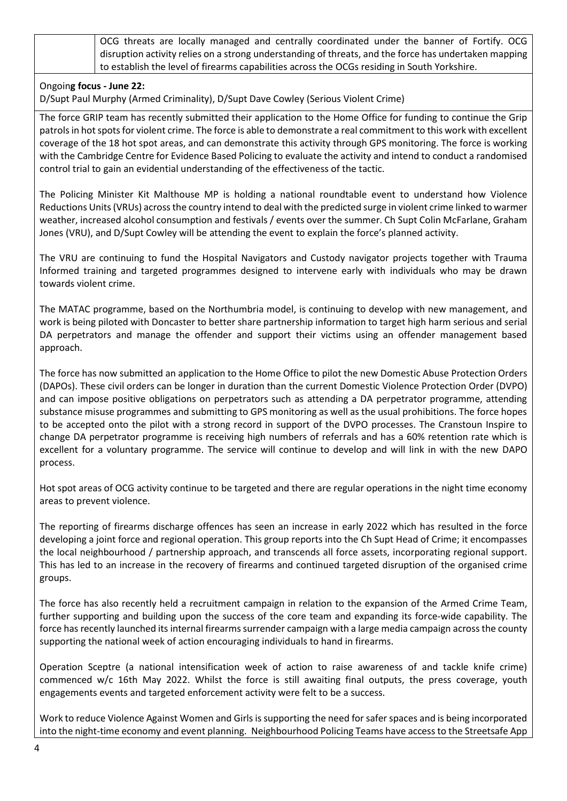| OCG threats are locally managed and centrally coordinated under the banner of Fortify. OCG            |
|-------------------------------------------------------------------------------------------------------|
| disruption activity relies on a strong understanding of threats, and the force has undertaken mapping |
| to establish the level of firearms capabilities across the OCGs residing in South Yorkshire.          |

#### Ongoin**g focus - June 22:**

D/Supt Paul Murphy (Armed Criminality), D/Supt Dave Cowley (Serious Violent Crime)

The force GRIP team has recently submitted their application to the Home Office for funding to continue the Grip patrols in hot spots for violent crime. The force is able to demonstrate a real commitment to this work with excellent coverage of the 18 hot spot areas, and can demonstrate this activity through GPS monitoring. The force is working with the Cambridge Centre for Evidence Based Policing to evaluate the activity and intend to conduct a randomised control trial to gain an evidential understanding of the effectiveness of the tactic.

The Policing Minister Kit Malthouse MP is holding a national roundtable event to understand how Violence Reductions Units(VRUs) across the country intend to deal with the predicted surge in violent crime linked to warmer weather, increased alcohol consumption and festivals / events over the summer. Ch Supt Colin McFarlane, Graham Jones (VRU), and D/Supt Cowley will be attending the event to explain the force's planned activity.

The VRU are continuing to fund the Hospital Navigators and Custody navigator projects together with Trauma Informed training and targeted programmes designed to intervene early with individuals who may be drawn towards violent crime.

The MATAC programme, based on the Northumbria model, is continuing to develop with new management, and work is being piloted with Doncaster to better share partnership information to target high harm serious and serial DA perpetrators and manage the offender and support their victims using an offender management based approach.

The force has now submitted an application to the Home Office to pilot the new Domestic Abuse Protection Orders (DAPOs). These civil orders can be longer in duration than the current Domestic Violence Protection Order (DVPO) and can impose positive obligations on perpetrators such as attending a DA perpetrator programme, attending substance misuse programmes and submitting to GPS monitoring as well as the usual prohibitions. The force hopes to be accepted onto the pilot with a strong record in support of the DVPO processes. The Cranstoun Inspire to change DA perpetrator programme is receiving high numbers of referrals and has a 60% retention rate which is excellent for a voluntary programme. The service will continue to develop and will link in with the new DAPO process.

Hot spot areas of OCG activity continue to be targeted and there are regular operations in the night time economy areas to prevent violence.

The reporting of firearms discharge offences has seen an increase in early 2022 which has resulted in the force developing a joint force and regional operation. This group reports into the Ch Supt Head of Crime; it encompasses the local neighbourhood / partnership approach, and transcends all force assets, incorporating regional support. This has led to an increase in the recovery of firearms and continued targeted disruption of the organised crime groups.

The force has also recently held a recruitment campaign in relation to the expansion of the Armed Crime Team, further supporting and building upon the success of the core team and expanding its force-wide capability. The force has recently launched its internal firearms surrender campaign with a large media campaign across the county supporting the national week of action encouraging individuals to hand in firearms.

Operation Sceptre (a national intensification week of action to raise awareness of and tackle knife crime) commenced w/c 16th May 2022. Whilst the force is still awaiting final outputs, the press coverage, youth engagements events and targeted enforcement activity were felt to be a success.

Work to reduce Violence Against Women and Girls is supporting the need for safer spaces and is being incorporated into the night-time economy and event planning. Neighbourhood Policing Teams have access to the Streetsafe App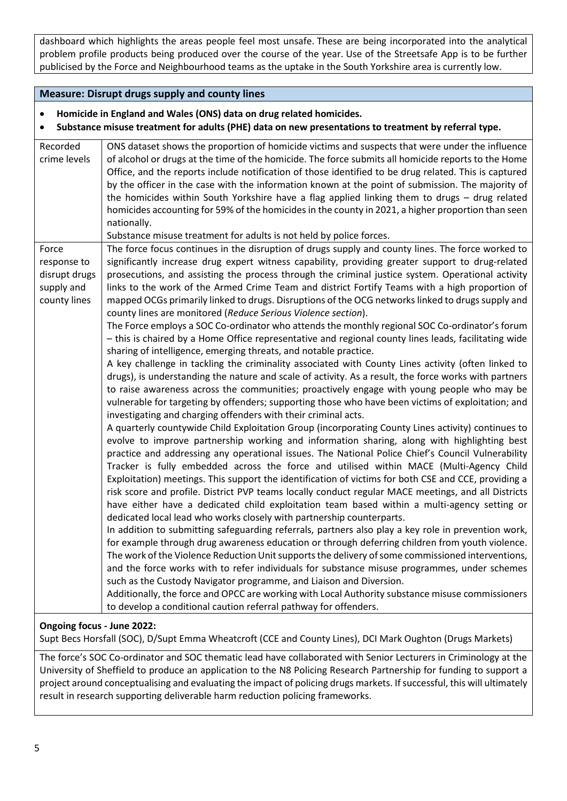dashboard which highlights the areas people feel most unsafe. These are being incorporated into the analytical problem profile products being produced over the course of the year. Use of the Streetsafe App is to be further publicised by the Force and Neighbourhood teams as the uptake in the South Yorkshire area is currently low.

# **Measure: Disrupt drugs supply and county lines**

#### • **Homicide in England and Wales (ONS) data on drug related homicides.**

• **Substance misuse treatment for adults (PHE) data on new presentations to treatment by referral type.**

| Recorded<br>crime levels                                            | ONS dataset shows the proportion of homicide victims and suspects that were under the influence<br>of alcohol or drugs at the time of the homicide. The force submits all homicide reports to the Home<br>Office, and the reports include notification of those identified to be drug related. This is captured<br>by the officer in the case with the information known at the point of submission. The majority of<br>the homicides within South Yorkshire have a flag applied linking them to drugs - drug related<br>homicides accounting for 59% of the homicides in the county in 2021, a higher proportion than seen<br>nationally.<br>Substance misuse treatment for adults is not held by police forces.                                                                                                                                                                                                                                                                                                                                                                                                                                                                                                                                                                                                                                                                                                                                                                                                                                                                                                                                                                                                                                                                                                                                                                                                                                                                                                                                                                                                                                                                                                                                                                                                                                                                                                                                                                                                                                                                                                                                                                                                                                                                                               |
|---------------------------------------------------------------------|-----------------------------------------------------------------------------------------------------------------------------------------------------------------------------------------------------------------------------------------------------------------------------------------------------------------------------------------------------------------------------------------------------------------------------------------------------------------------------------------------------------------------------------------------------------------------------------------------------------------------------------------------------------------------------------------------------------------------------------------------------------------------------------------------------------------------------------------------------------------------------------------------------------------------------------------------------------------------------------------------------------------------------------------------------------------------------------------------------------------------------------------------------------------------------------------------------------------------------------------------------------------------------------------------------------------------------------------------------------------------------------------------------------------------------------------------------------------------------------------------------------------------------------------------------------------------------------------------------------------------------------------------------------------------------------------------------------------------------------------------------------------------------------------------------------------------------------------------------------------------------------------------------------------------------------------------------------------------------------------------------------------------------------------------------------------------------------------------------------------------------------------------------------------------------------------------------------------------------------------------------------------------------------------------------------------------------------------------------------------------------------------------------------------------------------------------------------------------------------------------------------------------------------------------------------------------------------------------------------------------------------------------------------------------------------------------------------------------------------------------------------------------------------------------------------------|
| Force<br>response to<br>disrupt drugs<br>supply and<br>county lines | The force focus continues in the disruption of drugs supply and county lines. The force worked to<br>significantly increase drug expert witness capability, providing greater support to drug-related<br>prosecutions, and assisting the process through the criminal justice system. Operational activity<br>links to the work of the Armed Crime Team and district Fortify Teams with a high proportion of<br>mapped OCGs primarily linked to drugs. Disruptions of the OCG networks linked to drugs supply and<br>county lines are monitored (Reduce Serious Violence section).<br>The Force employs a SOC Co-ordinator who attends the monthly regional SOC Co-ordinator's forum<br>- this is chaired by a Home Office representative and regional county lines leads, facilitating wide<br>sharing of intelligence, emerging threats, and notable practice.<br>A key challenge in tackling the criminality associated with County Lines activity (often linked to<br>drugs), is understanding the nature and scale of activity. As a result, the force works with partners<br>to raise awareness across the communities; proactively engage with young people who may be<br>vulnerable for targeting by offenders; supporting those who have been victims of exploitation; and<br>investigating and charging offenders with their criminal acts.<br>A quarterly countywide Child Exploitation Group (incorporating County Lines activity) continues to<br>evolve to improve partnership working and information sharing, along with highlighting best<br>practice and addressing any operational issues. The National Police Chief's Council Vulnerability<br>Tracker is fully embedded across the force and utilised within MACE (Multi-Agency Child<br>Exploitation) meetings. This support the identification of victims for both CSE and CCE, providing a<br>risk score and profile. District PVP teams locally conduct regular MACE meetings, and all Districts<br>have either have a dedicated child exploitation team based within a multi-agency setting or<br>dedicated local lead who works closely with partnership counterparts.<br>In addition to submitting safeguarding referrals, partners also play a key role in prevention work,<br>for example through drug awareness education or through deferring children from youth violence.<br>The work of the Violence Reduction Unit supports the delivery of some commissioned interventions,<br>and the force works with to refer individuals for substance misuse programmes, under schemes<br>such as the Custody Navigator programme, and Liaison and Diversion.<br>Additionally, the force and OPCC are working with Local Authority substance misuse commissioners<br>to develop a conditional caution referral pathway for offenders. |

#### **Ongoing focus - June 2022:**

Supt Becs Horsfall (SOC), D/Supt Emma Wheatcroft (CCE and County Lines), DCI Mark Oughton (Drugs Markets)

The force's SOC Co-ordinator and SOC thematic lead have collaborated with Senior Lecturers in Criminology at the University of Sheffield to produce an application to the N8 Policing Research Partnership for funding to support a project around conceptualising and evaluating the impact of policing drugs markets. If successful, this will ultimately result in research supporting deliverable harm reduction policing frameworks.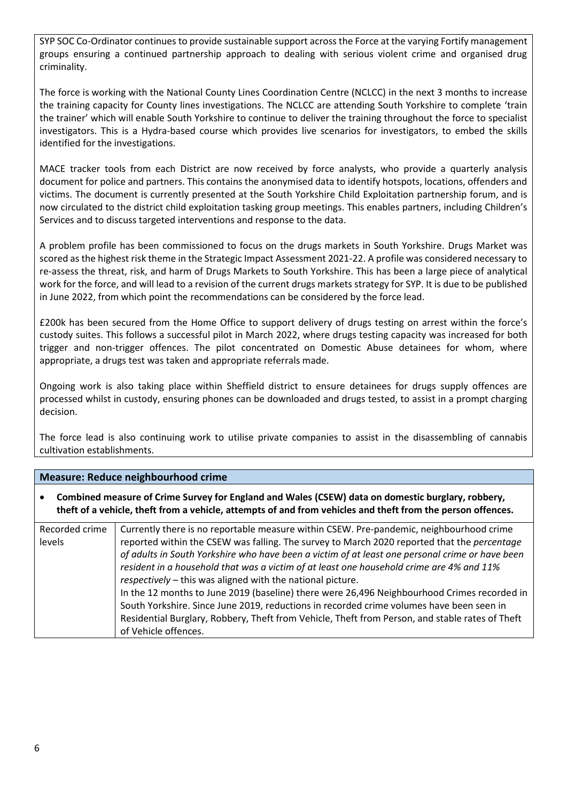SYP SOC Co-Ordinator continues to provide sustainable support across the Force at the varying Fortify management groups ensuring a continued partnership approach to dealing with serious violent crime and organised drug criminality.

The force is working with the National County Lines Coordination Centre (NCLCC) in the next 3 months to increase the training capacity for County lines investigations. The NCLCC are attending South Yorkshire to complete 'train the trainer' which will enable South Yorkshire to continue to deliver the training throughout the force to specialist investigators. This is a Hydra-based course which provides live scenarios for investigators, to embed the skills identified for the investigations.

MACE tracker tools from each District are now received by force analysts, who provide a quarterly analysis document for police and partners. This contains the anonymised data to identify hotspots, locations, offenders and victims. The document is currently presented at the South Yorkshire Child Exploitation partnership forum, and is now circulated to the district child exploitation tasking group meetings. This enables partners, including Children's Services and to discuss targeted interventions and response to the data.

A problem profile has been commissioned to focus on the drugs markets in South Yorkshire. Drugs Market was scored as the highest risk theme in the Strategic Impact Assessment 2021-22. A profile was considered necessary to re-assess the threat, risk, and harm of Drugs Markets to South Yorkshire. This has been a large piece of analytical work for the force, and will lead to a revision of the current drugs markets strategy for SYP. It is due to be published in June 2022, from which point the recommendations can be considered by the force lead.

£200k has been secured from the Home Office to support delivery of drugs testing on arrest within the force's custody suites. This follows a successful pilot in March 2022, where drugs testing capacity was increased for both trigger and non-trigger offences. The pilot concentrated on Domestic Abuse detainees for whom, where appropriate, a drugs test was taken and appropriate referrals made.

Ongoing work is also taking place within Sheffield district to ensure detainees for drugs supply offences are processed whilst in custody, ensuring phones can be downloaded and drugs tested, to assist in a prompt charging decision.

The force lead is also continuing work to utilise private companies to assist in the disassembling of cannabis cultivation establishments.

# **Measure: Reduce neighbourhood crime**

• **Combined measure of Crime Survey for England and Wales (CSEW) data on domestic burglary, robbery, theft of a vehicle, theft from a vehicle, attempts of and from vehicles and theft from the person offences.**

| Recorded crime | Currently there is no reportable measure within CSEW. Pre-pandemic, neighbourhood crime         |
|----------------|-------------------------------------------------------------------------------------------------|
| levels         | reported within the CSEW was falling. The survey to March 2020 reported that the percentage     |
|                | of adults in South Yorkshire who have been a victim of at least one personal crime or have been |
|                | resident in a household that was a victim of at least one household crime are 4% and 11%        |
|                | respectively - this was aligned with the national picture.                                      |
|                | In the 12 months to June 2019 (baseline) there were 26,496 Neighbourhood Crimes recorded in     |
|                | South Yorkshire. Since June 2019, reductions in recorded crime volumes have been seen in        |
|                | Residential Burglary, Robbery, Theft from Vehicle, Theft from Person, and stable rates of Theft |
|                | of Vehicle offences.                                                                            |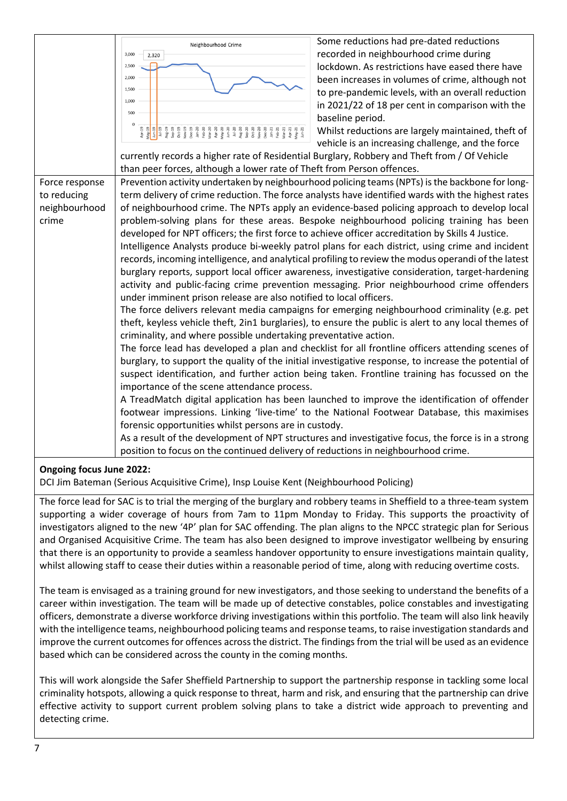

# **Ongoing focus June 2022:**

DCI Jim Bateman (Serious Acquisitive Crime), Insp Louise Kent (Neighbourhood Policing)

The force lead for SAC is to trial the merging of the burglary and robbery teams in Sheffield to a three-team system supporting a wider coverage of hours from 7am to 11pm Monday to Friday. This supports the proactivity of investigators aligned to the new '4P' plan for SAC offending. The plan aligns to the NPCC strategic plan for Serious and Organised Acquisitive Crime. The team has also been designed to improve investigator wellbeing by ensuring that there is an opportunity to provide a seamless handover opportunity to ensure investigations maintain quality, whilst allowing staff to cease their duties within a reasonable period of time, along with reducing overtime costs.

The team is envisaged as a training ground for new investigators, and those seeking to understand the benefits of a career within investigation. The team will be made up of detective constables, police constables and investigating officers, demonstrate a diverse workforce driving investigations within this portfolio. The team will also link heavily with the intelligence teams, neighbourhood policing teams and response teams, to raise investigation standards and improve the current outcomes for offences across the district. The findings from the trial will be used as an evidence based which can be considered across the county in the coming months.

This will work alongside the Safer Sheffield Partnership to support the partnership response in tackling some local criminality hotspots, allowing a quick response to threat, harm and risk, and ensuring that the partnership can drive effective activity to support current problem solving plans to take a district wide approach to preventing and detecting crime.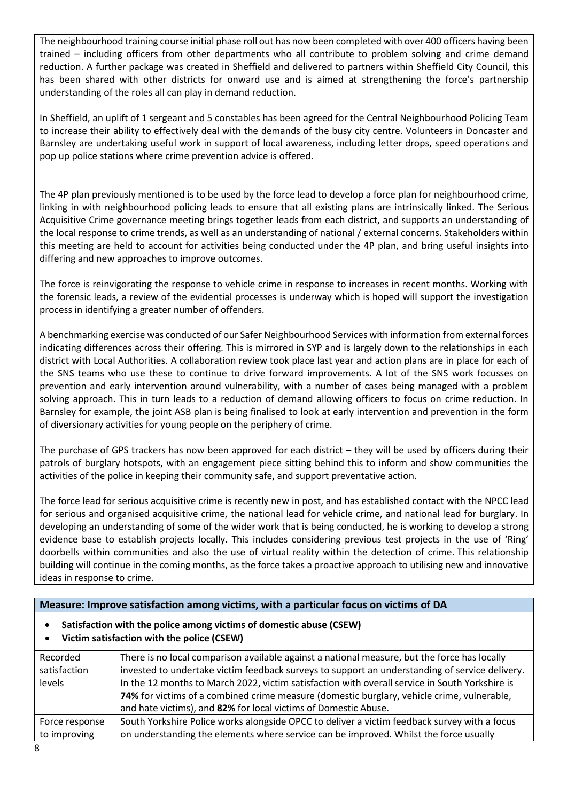The neighbourhood training course initial phase roll out has now been completed with over 400 officers having been trained – including officers from other departments who all contribute to problem solving and crime demand reduction. A further package was created in Sheffield and delivered to partners within Sheffield City Council, this has been shared with other districts for onward use and is aimed at strengthening the force's partnership understanding of the roles all can play in demand reduction.

In Sheffield, an uplift of 1 sergeant and 5 constables has been agreed for the Central Neighbourhood Policing Team to increase their ability to effectively deal with the demands of the busy city centre. Volunteers in Doncaster and Barnsley are undertaking useful work in support of local awareness, including letter drops, speed operations and pop up police stations where crime prevention advice is offered.

The 4P plan previously mentioned is to be used by the force lead to develop a force plan for neighbourhood crime, linking in with neighbourhood policing leads to ensure that all existing plans are intrinsically linked. The Serious Acquisitive Crime governance meeting brings together leads from each district, and supports an understanding of the local response to crime trends, as well as an understanding of national / external concerns. Stakeholders within this meeting are held to account for activities being conducted under the 4P plan, and bring useful insights into differing and new approaches to improve outcomes.

The force is reinvigorating the response to vehicle crime in response to increases in recent months. Working with the forensic leads, a review of the evidential processes is underway which is hoped will support the investigation process in identifying a greater number of offenders.

A benchmarking exercise was conducted of our Safer Neighbourhood Services with information from external forces indicating differences across their offering. This is mirrored in SYP and is largely down to the relationships in each district with Local Authorities. A collaboration review took place last year and action plans are in place for each of the SNS teams who use these to continue to drive forward improvements. A lot of the SNS work focusses on prevention and early intervention around vulnerability, with a number of cases being managed with a problem solving approach. This in turn leads to a reduction of demand allowing officers to focus on crime reduction. In Barnsley for example, the joint ASB plan is being finalised to look at early intervention and prevention in the form of diversionary activities for young people on the periphery of crime.

The purchase of GPS trackers has now been approved for each district – they will be used by officers during their patrols of burglary hotspots, with an engagement piece sitting behind this to inform and show communities the activities of the police in keeping their community safe, and support preventative action.

The force lead for serious acquisitive crime is recently new in post, and has established contact with the NPCC lead for serious and organised acquisitive crime, the national lead for vehicle crime, and national lead for burglary. In developing an understanding of some of the wider work that is being conducted, he is working to develop a strong evidence base to establish projects locally. This includes considering previous test projects in the use of 'Ring' doorbells within communities and also the use of virtual reality within the detection of crime. This relationship building will continue in the coming months, as the force takes a proactive approach to utilising new and innovative ideas in response to crime.

# **Measure: Improve satisfaction among victims, with a particular focus on victims of DA**

# • **Satisfaction with the police among victims of domestic abuse (CSEW)**

• **Victim satisfaction with the police (CSEW)**

| Recorded       | There is no local comparison available against a national measure, but the force has locally   |
|----------------|------------------------------------------------------------------------------------------------|
| satisfaction   | invested to undertake victim feedback surveys to support an understanding of service delivery. |
| levels         | In the 12 months to March 2022, victim satisfaction with overall service in South Yorkshire is |
|                | 74% for victims of a combined crime measure (domestic burglary, vehicle crime, vulnerable,     |
|                | and hate victims), and 82% for local victims of Domestic Abuse.                                |
| Force response | South Yorkshire Police works alongside OPCC to deliver a victim feedback survey with a focus   |
| to improving   | on understanding the elements where service can be improved. Whilst the force usually          |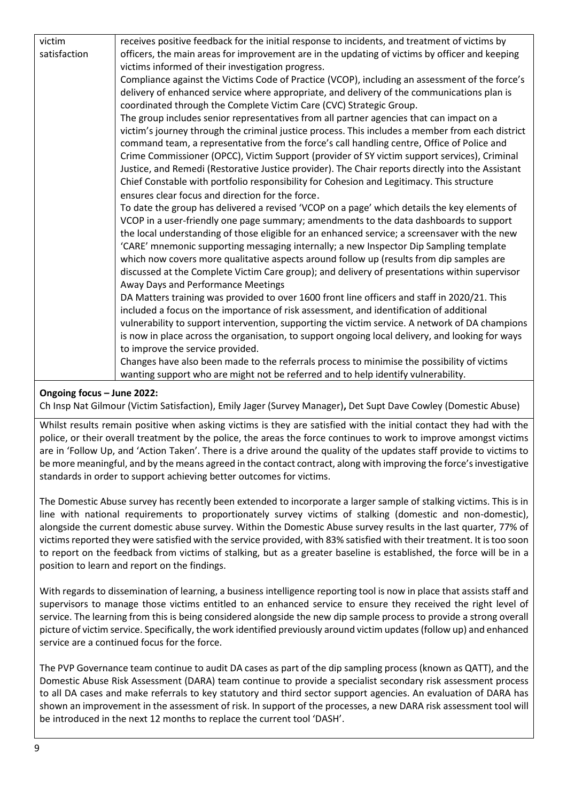| victim       | receives positive feedback for the initial response to incidents, and treatment of victims by     |
|--------------|---------------------------------------------------------------------------------------------------|
| satisfaction | officers, the main areas for improvement are in the updating of victims by officer and keeping    |
|              | victims informed of their investigation progress.                                                 |
|              | Compliance against the Victims Code of Practice (VCOP), including an assessment of the force's    |
|              | delivery of enhanced service where appropriate, and delivery of the communications plan is        |
|              | coordinated through the Complete Victim Care (CVC) Strategic Group.                               |
|              | The group includes senior representatives from all partner agencies that can impact on a          |
|              | victim's journey through the criminal justice process. This includes a member from each district  |
|              | command team, a representative from the force's call handling centre, Office of Police and        |
|              | Crime Commissioner (OPCC), Victim Support (provider of SY victim support services), Criminal      |
|              | Justice, and Remedi (Restorative Justice provider). The Chair reports directly into the Assistant |
|              | Chief Constable with portfolio responsibility for Cohesion and Legitimacy. This structure         |
|              | ensures clear focus and direction for the force.                                                  |
|              | To date the group has delivered a revised 'VCOP on a page' which details the key elements of      |
|              | VCOP in a user-friendly one page summary; amendments to the data dashboards to support            |
|              | the local understanding of those eligible for an enhanced service; a screensaver with the new     |
|              | 'CARE' mnemonic supporting messaging internally; a new Inspector Dip Sampling template            |
|              | which now covers more qualitative aspects around follow up (results from dip samples are          |
|              | discussed at the Complete Victim Care group); and delivery of presentations within supervisor     |
|              | Away Days and Performance Meetings                                                                |
|              | DA Matters training was provided to over 1600 front line officers and staff in 2020/21. This      |
|              | included a focus on the importance of risk assessment, and identification of additional           |
|              | vulnerability to support intervention, supporting the victim service. A network of DA champions   |
|              | is now in place across the organisation, to support ongoing local delivery, and looking for ways  |
|              | to improve the service provided.                                                                  |
|              | Changes have also been made to the referrals process to minimise the possibility of victims       |
|              | wanting support who are might not be referred and to help identify vulnerability.                 |

# **Ongoing focus – June 2022:**

Ch Insp Nat Gilmour (Victim Satisfaction), Emily Jager (Survey Manager)**,** Det Supt Dave Cowley (Domestic Abuse)

Whilst results remain positive when asking victims is they are satisfied with the initial contact they had with the police, or their overall treatment by the police, the areas the force continues to work to improve amongst victims are in 'Follow Up, and 'Action Taken'. There is a drive around the quality of the updates staff provide to victims to be more meaningful, and by the means agreed in the contact contract, along with improving the force's investigative standards in order to support achieving better outcomes for victims.

The Domestic Abuse survey has recently been extended to incorporate a larger sample of stalking victims. This is in line with national requirements to proportionately survey victims of stalking (domestic and non-domestic), alongside the current domestic abuse survey. Within the Domestic Abuse survey results in the last quarter, 77% of victims reported they were satisfied with the service provided, with 83% satisfied with their treatment. It is too soon to report on the feedback from victims of stalking, but as a greater baseline is established, the force will be in a position to learn and report on the findings.

With regards to dissemination of learning, a business intelligence reporting tool is now in place that assists staff and supervisors to manage those victims entitled to an enhanced service to ensure they received the right level of service. The learning from this is being considered alongside the new dip sample process to provide a strong overall picture of victim service. Specifically, the work identified previously around victim updates (follow up) and enhanced service are a continued focus for the force.

The PVP Governance team continue to audit DA cases as part of the dip sampling process (known as QATT), and the Domestic Abuse Risk Assessment (DARA) team continue to provide a specialist secondary risk assessment process to all DA cases and make referrals to key statutory and third sector support agencies. An evaluation of DARA has shown an improvement in the assessment of risk. In support of the processes, a new DARA risk assessment tool will be introduced in the next 12 months to replace the current tool 'DASH'.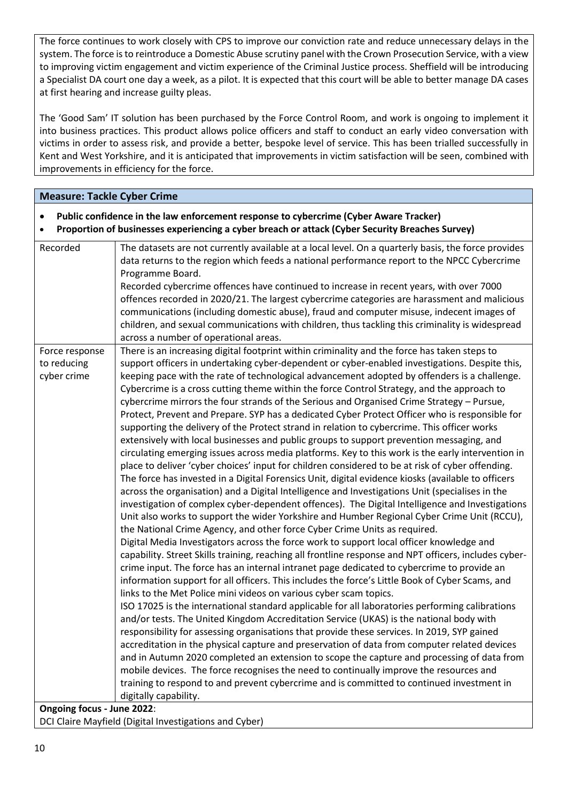The force continues to work closely with CPS to improve our conviction rate and reduce unnecessary delays in the system. The force is to reintroduce a Domestic Abuse scrutiny panel with the Crown Prosecution Service, with a view to improving victim engagement and victim experience of the Criminal Justice process. Sheffield will be introducing a Specialist DA court one day a week, as a pilot. It is expected that this court will be able to better manage DA cases at first hearing and increase guilty pleas.

The 'Good Sam' IT solution has been purchased by the Force Control Room, and work is ongoing to implement it into business practices. This product allows police officers and staff to conduct an early video conversation with victims in order to assess risk, and provide a better, bespoke level of service. This has been trialled successfully in Kent and West Yorkshire, and it is anticipated that improvements in victim satisfaction will be seen, combined with improvements in efficiency for the force.

| <b>Measure: Tackle Cyber Crime</b>                                                                                                                                                                    |                                                                                                                                                                                                                                                                                                                                                                                                                                                                                                                                                                                                                                                                                                                                                                                                                                                                                                                                                                                                                                                                                                                                                                                                                                                                                                                                                                                                                                                                                                                                                                                                                                                                                                                                                                                                                                                                                                                                                                                                                                                                                                                                                                                                                                                                                                                                                                                                                                                                                                                                                                                                                                                                               |  |
|-------------------------------------------------------------------------------------------------------------------------------------------------------------------------------------------------------|-------------------------------------------------------------------------------------------------------------------------------------------------------------------------------------------------------------------------------------------------------------------------------------------------------------------------------------------------------------------------------------------------------------------------------------------------------------------------------------------------------------------------------------------------------------------------------------------------------------------------------------------------------------------------------------------------------------------------------------------------------------------------------------------------------------------------------------------------------------------------------------------------------------------------------------------------------------------------------------------------------------------------------------------------------------------------------------------------------------------------------------------------------------------------------------------------------------------------------------------------------------------------------------------------------------------------------------------------------------------------------------------------------------------------------------------------------------------------------------------------------------------------------------------------------------------------------------------------------------------------------------------------------------------------------------------------------------------------------------------------------------------------------------------------------------------------------------------------------------------------------------------------------------------------------------------------------------------------------------------------------------------------------------------------------------------------------------------------------------------------------------------------------------------------------------------------------------------------------------------------------------------------------------------------------------------------------------------------------------------------------------------------------------------------------------------------------------------------------------------------------------------------------------------------------------------------------------------------------------------------------------------------------------------------------|--|
| Public confidence in the law enforcement response to cybercrime (Cyber Aware Tracker)<br>$\bullet$<br>Proportion of businesses experiencing a cyber breach or attack (Cyber Security Breaches Survey) |                                                                                                                                                                                                                                                                                                                                                                                                                                                                                                                                                                                                                                                                                                                                                                                                                                                                                                                                                                                                                                                                                                                                                                                                                                                                                                                                                                                                                                                                                                                                                                                                                                                                                                                                                                                                                                                                                                                                                                                                                                                                                                                                                                                                                                                                                                                                                                                                                                                                                                                                                                                                                                                                               |  |
| Recorded                                                                                                                                                                                              | The datasets are not currently available at a local level. On a quarterly basis, the force provides<br>data returns to the region which feeds a national performance report to the NPCC Cybercrime<br>Programme Board.<br>Recorded cybercrime offences have continued to increase in recent years, with over 7000<br>offences recorded in 2020/21. The largest cybercrime categories are harassment and malicious                                                                                                                                                                                                                                                                                                                                                                                                                                                                                                                                                                                                                                                                                                                                                                                                                                                                                                                                                                                                                                                                                                                                                                                                                                                                                                                                                                                                                                                                                                                                                                                                                                                                                                                                                                                                                                                                                                                                                                                                                                                                                                                                                                                                                                                             |  |
|                                                                                                                                                                                                       | communications (including domestic abuse), fraud and computer misuse, indecent images of<br>children, and sexual communications with children, thus tackling this criminality is widespread<br>across a number of operational areas.                                                                                                                                                                                                                                                                                                                                                                                                                                                                                                                                                                                                                                                                                                                                                                                                                                                                                                                                                                                                                                                                                                                                                                                                                                                                                                                                                                                                                                                                                                                                                                                                                                                                                                                                                                                                                                                                                                                                                                                                                                                                                                                                                                                                                                                                                                                                                                                                                                          |  |
| Force response<br>to reducing<br>cyber crime                                                                                                                                                          | There is an increasing digital footprint within criminality and the force has taken steps to<br>support officers in undertaking cyber-dependent or cyber-enabled investigations. Despite this,<br>keeping pace with the rate of technological advancement adopted by offenders is a challenge.<br>Cybercrime is a cross cutting theme within the force Control Strategy, and the approach to<br>cybercrime mirrors the four strands of the Serious and Organised Crime Strategy - Pursue,<br>Protect, Prevent and Prepare. SYP has a dedicated Cyber Protect Officer who is responsible for<br>supporting the delivery of the Protect strand in relation to cybercrime. This officer works<br>extensively with local businesses and public groups to support prevention messaging, and<br>circulating emerging issues across media platforms. Key to this work is the early intervention in<br>place to deliver 'cyber choices' input for children considered to be at risk of cyber offending.<br>The force has invested in a Digital Forensics Unit, digital evidence kiosks (available to officers<br>across the organisation) and a Digital Intelligence and Investigations Unit (specialises in the<br>investigation of complex cyber-dependent offences). The Digital Intelligence and Investigations<br>Unit also works to support the wider Yorkshire and Humber Regional Cyber Crime Unit (RCCU),<br>the National Crime Agency, and other force Cyber Crime Units as required.<br>Digital Media Investigators across the force work to support local officer knowledge and<br>capability. Street Skills training, reaching all frontline response and NPT officers, includes cyber-<br>crime input. The force has an internal intranet page dedicated to cybercrime to provide an<br>information support for all officers. This includes the force's Little Book of Cyber Scams, and<br>links to the Met Police mini videos on various cyber scam topics.<br>ISO 17025 is the international standard applicable for all laboratories performing calibrations<br>and/or tests. The United Kingdom Accreditation Service (UKAS) is the national body with<br>responsibility for assessing organisations that provide these services. In 2019, SYP gained<br>accreditation in the physical capture and preservation of data from computer related devices<br>and in Autumn 2020 completed an extension to scope the capture and processing of data from<br>mobile devices. The force recognises the need to continually improve the resources and<br>training to respond to and prevent cybercrime and is committed to continued investment in<br>digitally capability. |  |
| Ongoing focus - June 2022:                                                                                                                                                                            |                                                                                                                                                                                                                                                                                                                                                                                                                                                                                                                                                                                                                                                                                                                                                                                                                                                                                                                                                                                                                                                                                                                                                                                                                                                                                                                                                                                                                                                                                                                                                                                                                                                                                                                                                                                                                                                                                                                                                                                                                                                                                                                                                                                                                                                                                                                                                                                                                                                                                                                                                                                                                                                                               |  |